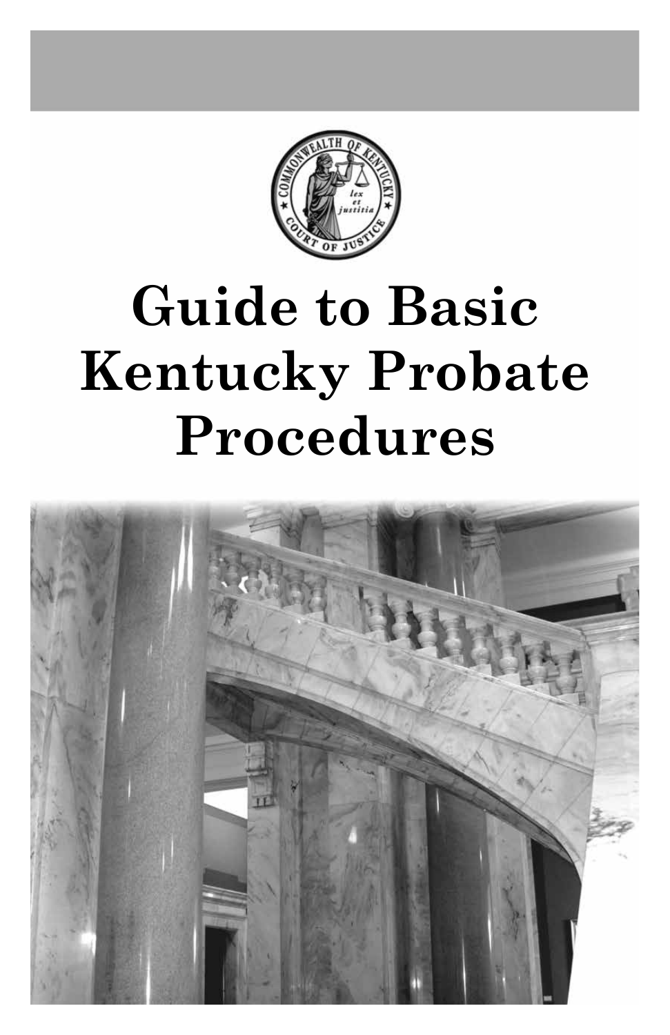

# **Guide to Basic Kentucky Probate Procedures**

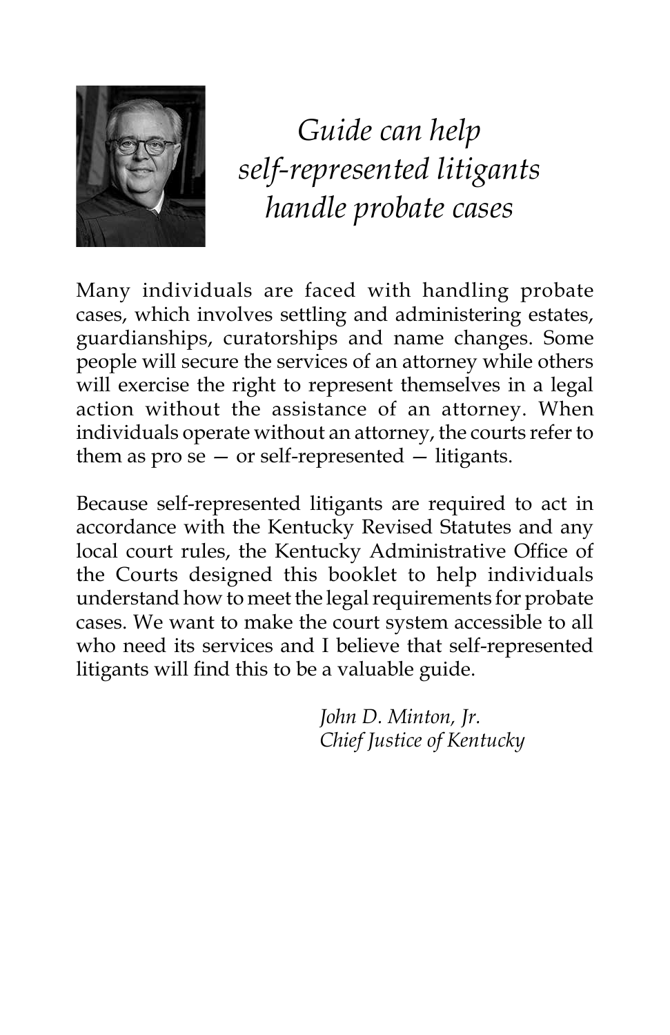

*Guide can help self-represented litigants handle probate cases*

Many individuals are faced with handling probate cases, which involves settling and administering estates, guardianships, curatorships and name changes. Some people will secure the services of an attorney while others will exercise the right to represent themselves in a legal action without the assistance of an attorney. When individuals operate without an attorney, the courts refer to them as  $pro se - or self-represented - litigants$ .

Because self-represented litigants are required to act in accordance with the Kentucky Revised Statutes and any local court rules, the Kentucky Administrative Office of the Courts designed this booklet to help individuals understand how to meet the legal requirements for probate cases. We want to make the court system accessible to all who need its services and I believe that self-represented litigants will find this to be a valuable guide.

> *John D. Minton, Jr. Chief Justice of Kentucky*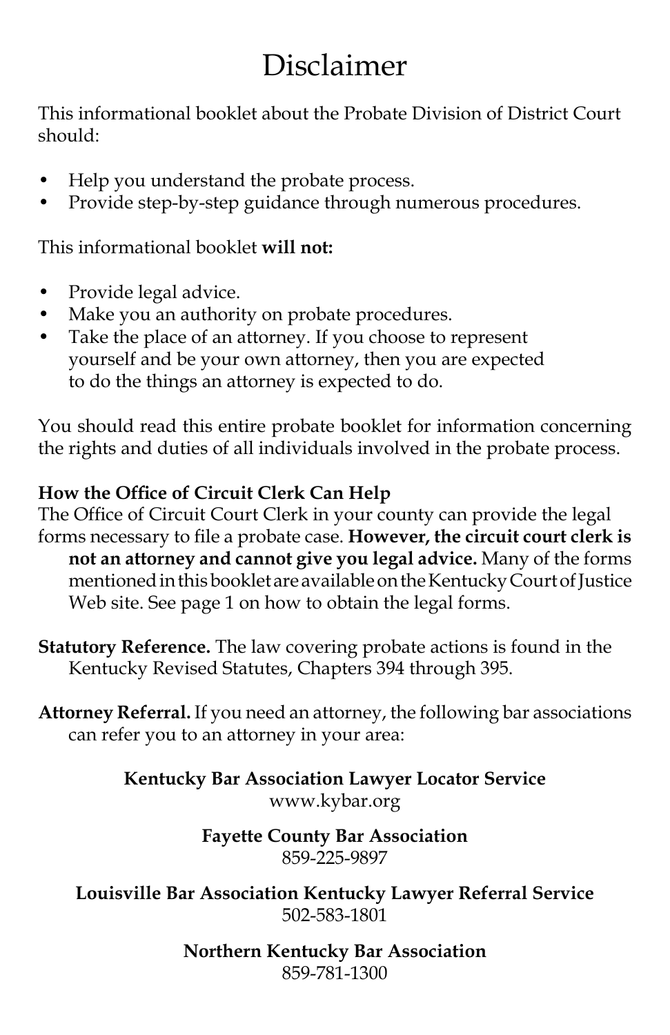# Disclaimer

This informational booklet about the Probate Division of District Court should:

- Help you understand the probate process.
- Provide step-by-step guidance through numerous procedures.

This informational booklet **will not:**

- Provide legal advice.
- Make you an authority on probate procedures.
- Take the place of an attorney. If you choose to represent yourself and be your own attorney, then you are expected to do the things an attorney is expected to do.

You should read this entire probate booklet for information concerning the rights and duties of all individuals involved in the probate process.

### **How the Office of Circuit Clerk Can Help**

The Office of Circuit Court Clerk in your county can provide the legal forms necessary to file a probate case. **However, the circuit court clerk is not an attorney and cannot give you legal advice.** Many of the forms mentioned in this booklet are available on the Kentucky Court of Justice Web site. See page 1 on how to obtain the legal forms.

**Statutory Reference.** The law covering probate actions is found in the Kentucky Revised Statutes, Chapters 394 through 395.

**Attorney Referral.** If you need an attorney, the following bar associations can refer you to an attorney in your area:

> **Kentucky Bar Association Lawyer Locator Service** www.kybar.org

#### **Fayette County Bar Association** 859-225-9897

**Louisville Bar Association Kentucky Lawyer Referral Service** 502-583-1801

> **Northern Kentucky Bar Association** 859-781-1300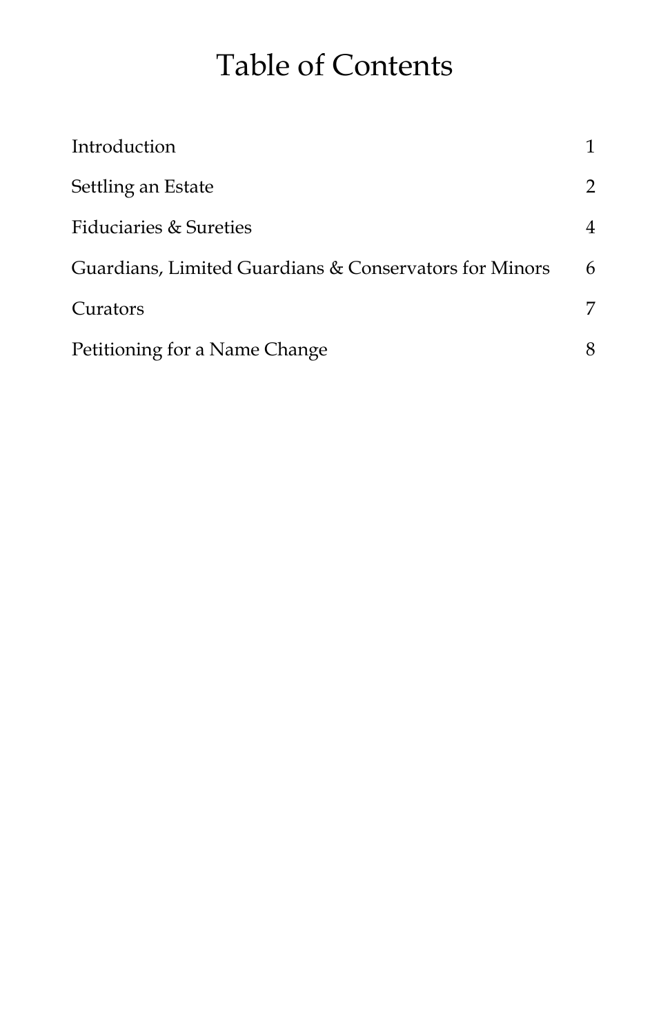# Table of Contents

| Introduction                                           |   |
|--------------------------------------------------------|---|
| Settling an Estate                                     | 2 |
| <b>Fiduciaries &amp; Sureties</b>                      | 4 |
| Guardians, Limited Guardians & Conservators for Minors | 6 |
| Curators                                               | 7 |
| Petitioning for a Name Change                          | 8 |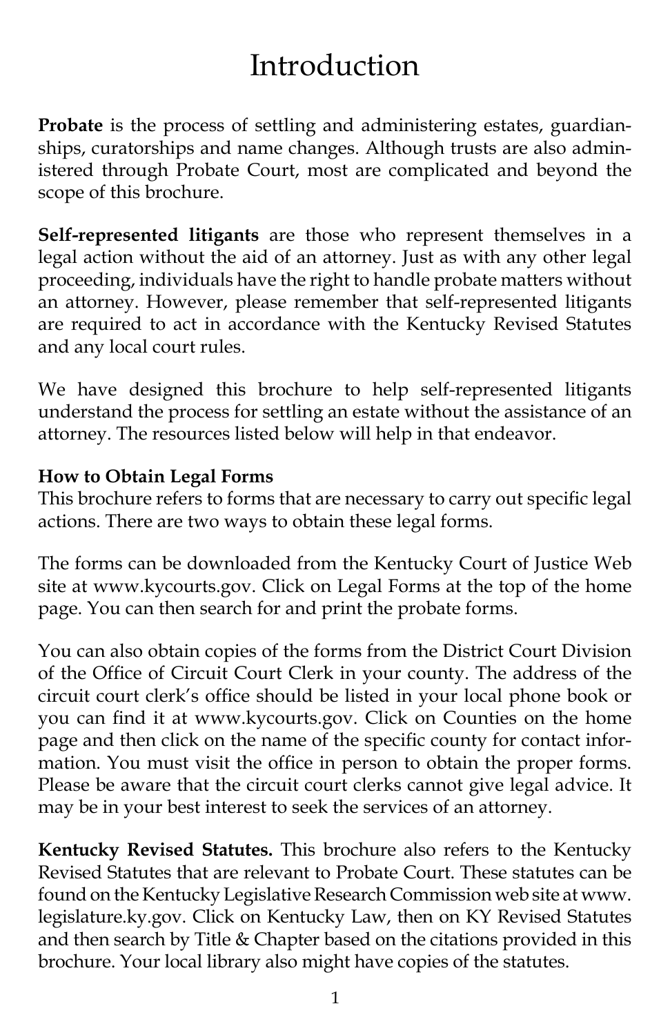# Introduction

**Probate** is the process of settling and administering estates, guardianships, curatorships and name changes. Although trusts are also administered through Probate Court, most are complicated and beyond the scope of this brochure.

**Self-represented litigants** are those who represent themselves in a legal action without the aid of an attorney. Just as with any other legal proceeding, individuals have the right to handle probate matters without an attorney. However, please remember that self-represented litigants are required to act in accordance with the Kentucky Revised Statutes and any local court rules.

We have designed this brochure to help self-represented litigants understand the process for settling an estate without the assistance of an attorney. The resources listed below will help in that endeavor.

#### **How to Obtain Legal Forms**

This brochure refers to forms that are necessary to carry out specific legal actions. There are two ways to obtain these legal forms.

The forms can be downloaded from the Kentucky Court of Justice Web site at www.kycourts.gov. Click on Legal Forms at the top of the home page. You can then search for and print the probate forms.

You can also obtain copies of the forms from the District Court Division of the Office of Circuit Court Clerk in your county. The address of the circuit court clerk's office should be listed in your local phone book or you can find it at www.kycourts.gov. Click on Counties on the home page and then click on the name of the specific county for contact information. You must visit the office in person to obtain the proper forms. Please be aware that the circuit court clerks cannot give legal advice. It may be in your best interest to seek the services of an attorney.

**Kentucky Revised Statutes.** This brochure also refers to the Kentucky Revised Statutes that are relevant to Probate Court. These statutes can be found on the Kentucky Legislative Research Commission web site at www. legislature.ky.gov. Click on Kentucky Law, then on KY Revised Statutes and then search by Title & Chapter based on the citations provided in this brochure. Your local library also might have copies of the statutes.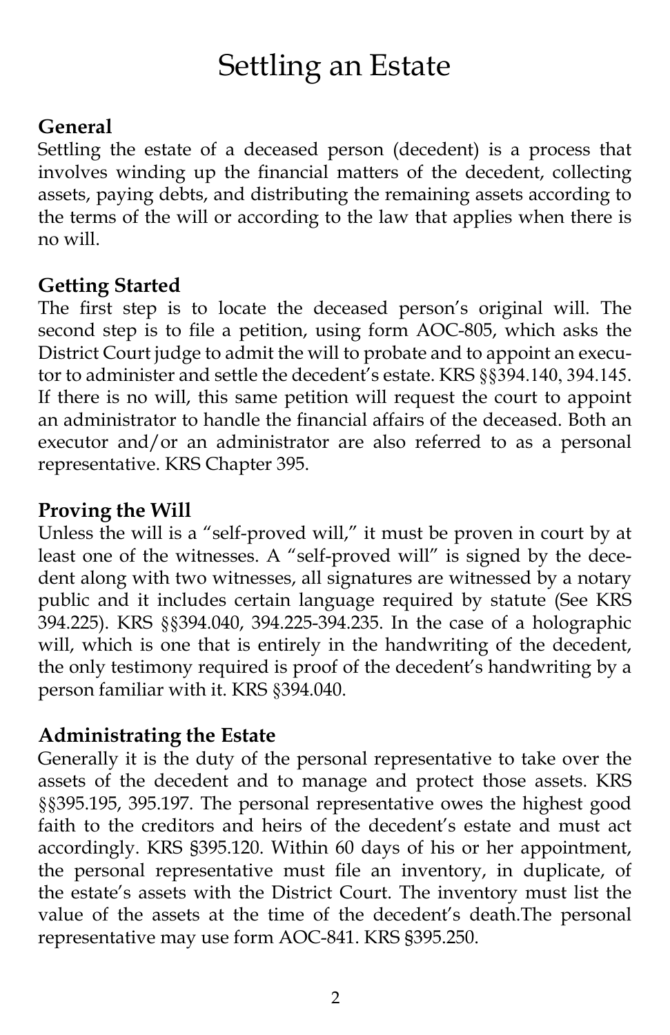# Settling an Estate

### **General**

Settling the estate of a deceased person (decedent) is a process that involves winding up the financial matters of the decedent, collecting assets, paying debts, and distributing the remaining assets according to the terms of the will or according to the law that applies when there is no will.

### **Getting Started**

The first step is to locate the deceased person's original will. The second step is to file a petition, using form AOC-805, which asks the District Court judge to admit the will to probate and to appoint an executor to administer and settle the decedent's estate. KRS §§394.140, 394.145. If there is no will, this same petition will request the court to appoint an administrator to handle the financial affairs of the deceased. Both an executor and/or an administrator are also referred to as a personal representative. KRS Chapter 395.

### **Proving the Will**

Unless the will is a "self-proved will," it must be proven in court by at least one of the witnesses. A "self-proved will" is signed by the decedent along with two witnesses, all signatures are witnessed by a notary public and it includes certain language required by statute (See KRS 394.225). KRS §§394.040, 394.225-394.235. In the case of a holographic will, which is one that is entirely in the handwriting of the decedent, the only testimony required is proof of the decedent's handwriting by a person familiar with it. KRS §394.040.

### **Administrating the Estate**

Generally it is the duty of the personal representative to take over the assets of the decedent and to manage and protect those assets. KRS §§395.195, 395.197. The personal representative owes the highest good faith to the creditors and heirs of the decedent's estate and must act accordingly. KRS §395.120. Within 60 days of his or her appointment, the personal representative must file an inventory, in duplicate, of the estate's assets with the District Court. The inventory must list the value of the assets at the time of the decedent's death.The personal representative may use form AOC-841. KRS §395.250.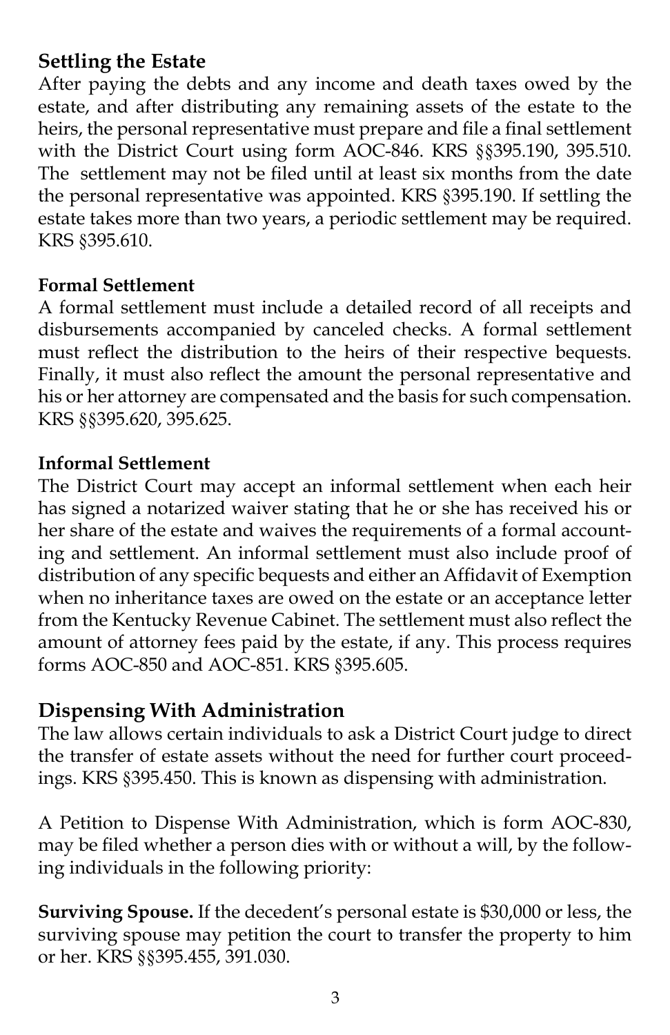#### **Settling the Estate**

After paying the debts and any income and death taxes owed by the estate, and after distributing any remaining assets of the estate to the heirs, the personal representative must prepare and file a final settlement with the District Court using form AOC-846. KRS §§395.190, 395.510. The settlement may not be filed until at least six months from the date the personal representative was appointed. KRS §395.190. If settling the estate takes more than two years, a periodic settlement may be required. KRS §395.610.

#### **Formal Settlement**

A formal settlement must include a detailed record of all receipts and disbursements accompanied by canceled checks. A formal settlement must reflect the distribution to the heirs of their respective bequests. Finally, it must also reflect the amount the personal representative and his or her attorney are compensated and the basis for such compensation. KRS §§395.620, 395.625.

#### **Informal Settlement**

The District Court may accept an informal settlement when each heir has signed a notarized waiver stating that he or she has received his or her share of the estate and waives the requirements of a formal accounting and settlement. An informal settlement must also include proof of distribution of any specific bequests and either an Affidavit of Exemption when no inheritance taxes are owed on the estate or an acceptance letter from the Kentucky Revenue Cabinet. The settlement must also reflect the amount of attorney fees paid by the estate, if any. This process requires forms AOC-850 and AOC-851. KRS §395.605.

#### **Dispensing With Administration**

The law allows certain individuals to ask a District Court judge to direct the transfer of estate assets without the need for further court proceedings. KRS §395.450. This is known as dispensing with administration.

A Petition to Dispense With Administration, which is form AOC-830, may be filed whether a person dies with or without a will, by the following individuals in the following priority:

**Surviving Spouse.** If the decedent's personal estate is \$30,000 or less, the surviving spouse may petition the court to transfer the property to him or her. KRS §§395.455, 391.030.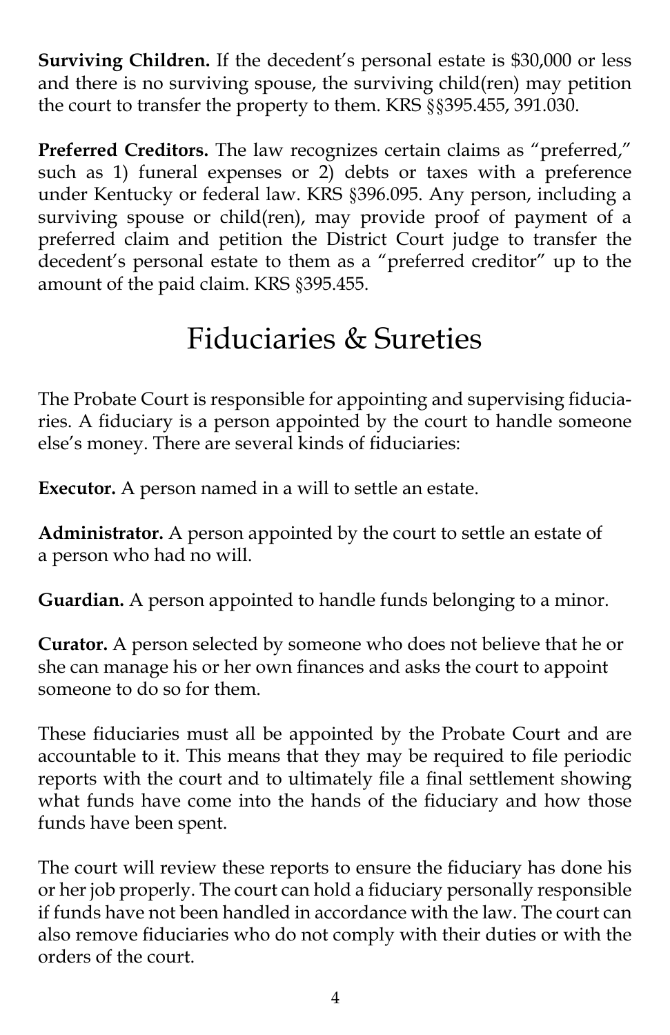**Surviving Children.** If the decedent's personal estate is \$30,000 or less and there is no surviving spouse, the surviving child(ren) may petition the court to transfer the property to them. KRS §§395.455, 391.030.

**Preferred Creditors.** The law recognizes certain claims as "preferred," such as 1) funeral expenses or 2) debts or taxes with a preference under Kentucky or federal law. KRS §396.095. Any person, including a surviving spouse or child(ren), may provide proof of payment of a preferred claim and petition the District Court judge to transfer the decedent's personal estate to them as a "preferred creditor" up to the amount of the paid claim. KRS §395.455.

## Fiduciaries & Sureties

The Probate Court is responsible for appointing and supervising fiduciaries. A fiduciary is a person appointed by the court to handle someone else's money. There are several kinds of fiduciaries:

**Executor.** A person named in a will to settle an estate.

**Administrator.** A person appointed by the court to settle an estate of a person who had no will.

**Guardian.** A person appointed to handle funds belonging to a minor.

**Curator.** A person selected by someone who does not believe that he or she can manage his or her own finances and asks the court to appoint someone to do so for them.

These fiduciaries must all be appointed by the Probate Court and are accountable to it. This means that they may be required to file periodic reports with the court and to ultimately file a final settlement showing what funds have come into the hands of the fiduciary and how those funds have been spent.

The court will review these reports to ensure the fiduciary has done his or her job properly. The court can hold a fiduciary personally responsible if funds have not been handled in accordance with the law. The court can also remove fiduciaries who do not comply with their duties or with the orders of the court.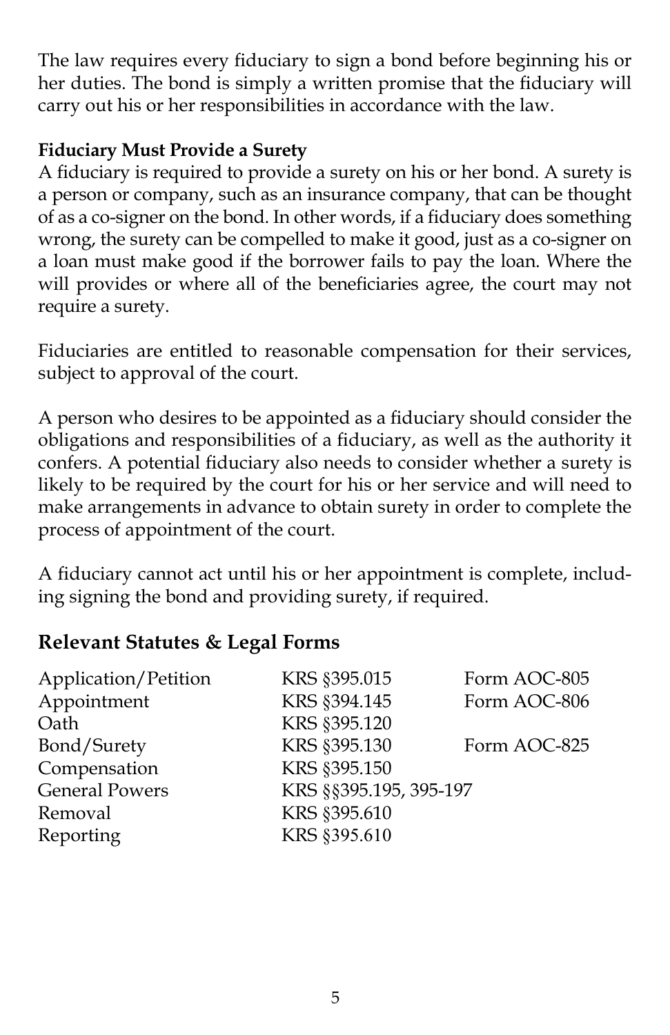The law requires every fiduciary to sign a bond before beginning his or her duties. The bond is simply a written promise that the fiduciary will carry out his or her responsibilities in accordance with the law.

#### **Fiduciary Must Provide a Surety**

A fiduciary is required to provide a surety on his or her bond. A surety is a person or company, such as an insurance company, that can be thought of as a co-signer on the bond. In other words, if a fiduciary does something wrong, the surety can be compelled to make it good, just as a co-signer on a loan must make good if the borrower fails to pay the loan. Where the will provides or where all of the beneficiaries agree, the court may not require a surety.

Fiduciaries are entitled to reasonable compensation for their services, subject to approval of the court.

A person who desires to be appointed as a fiduciary should consider the obligations and responsibilities of a fiduciary, as well as the authority it confers. A potential fiduciary also needs to consider whether a surety is likely to be required by the court for his or her service and will need to make arrangements in advance to obtain surety in order to complete the process of appointment of the court.

A fiduciary cannot act until his or her appointment is complete, including signing the bond and providing surety, if required.

### **Relevant Statutes & Legal Forms**

| Form AOC-806 |
|--------------|
|              |
| Form AOC-825 |
|              |
|              |
|              |
|              |
|              |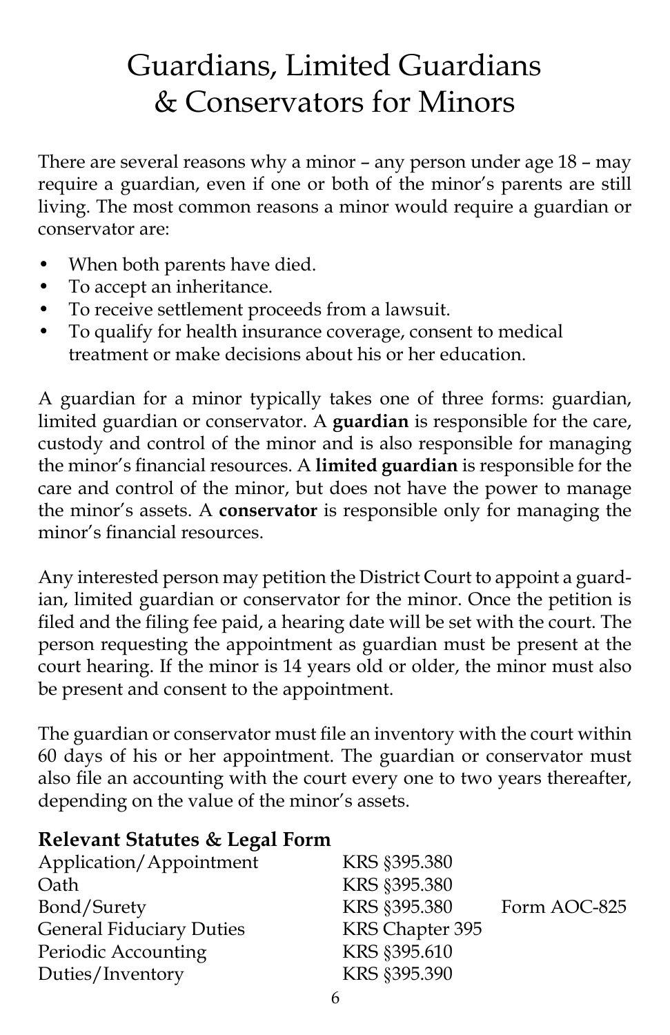# Guardians, Limited Guardians & Conservators for Minors

There are several reasons why a minor – any person under age 18 – may require a guardian, even if one or both of the minor's parents are still living. The most common reasons a minor would require a guardian or conservator are:

- When both parents have died.
- To accept an inheritance.
- To receive settlement proceeds from a lawsuit.
- To qualify for health insurance coverage, consent to medical treatment or make decisions about his or her education.

A guardian for a minor typically takes one of three forms: guardian, limited guardian or conservator. A **guardian** is responsible for the care, custody and control of the minor and is also responsible for managing the minor's financial resources. A **limited guardian** is responsible for the care and control of the minor, but does not have the power to manage the minor's assets. A **conservator** is responsible only for managing the minor's financial resources.

Any interested person may petition the District Court to appoint a guardian, limited guardian or conservator for the minor. Once the petition is filed and the filing fee paid, a hearing date will be set with the court. The person requesting the appointment as guardian must be present at the court hearing. If the minor is 14 years old or older, the minor must also be present and consent to the appointment.

The guardian or conservator must file an inventory with the court within 60 days of his or her appointment. The guardian or conservator must also file an accounting with the court every one to two years thereafter, depending on the value of the minor's assets.

### **Relevant Statutes & Legal Form**

| Application/Appointment         | KRS §395.380    |              |
|---------------------------------|-----------------|--------------|
| Oath                            | KRS §395.380    |              |
| Bond/Surety                     | KRS §395.380    | Form AOC-825 |
| <b>General Fiduciary Duties</b> | KRS Chapter 395 |              |
| Periodic Accounting             | KRS §395.610    |              |
| Duties/Inventory                | KRS §395.390    |              |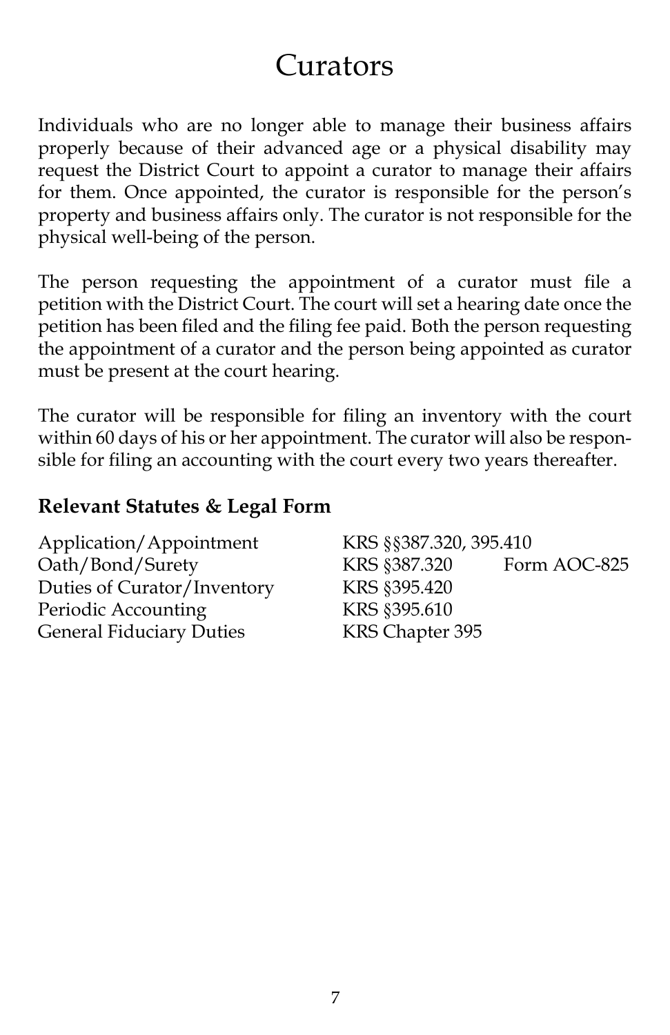### Curators

Individuals who are no longer able to manage their business affairs properly because of their advanced age or a physical disability may request the District Court to appoint a curator to manage their affairs for them. Once appointed, the curator is responsible for the person's property and business affairs only. The curator is not responsible for the physical well-being of the person.

The person requesting the appointment of a curator must file a petition with the District Court. The court will set a hearing date once the petition has been filed and the filing fee paid. Both the person requesting the appointment of a curator and the person being appointed as curator must be present at the court hearing.

The curator will be responsible for filing an inventory with the court within 60 days of his or her appointment. The curator will also be responsible for filing an accounting with the court every two years thereafter.

#### **Relevant Statutes & Legal Form**

| Application/Appointment         | KRS §§387.320, 395.410 |              |
|---------------------------------|------------------------|--------------|
| Oath/Bond/Surety                | KRS §387.320           | Form AOC-825 |
| Duties of Curator/Inventory     | KRS §395.420           |              |
| Periodic Accounting             | KRS §395.610           |              |
| <b>General Fiduciary Duties</b> | KRS Chapter 395        |              |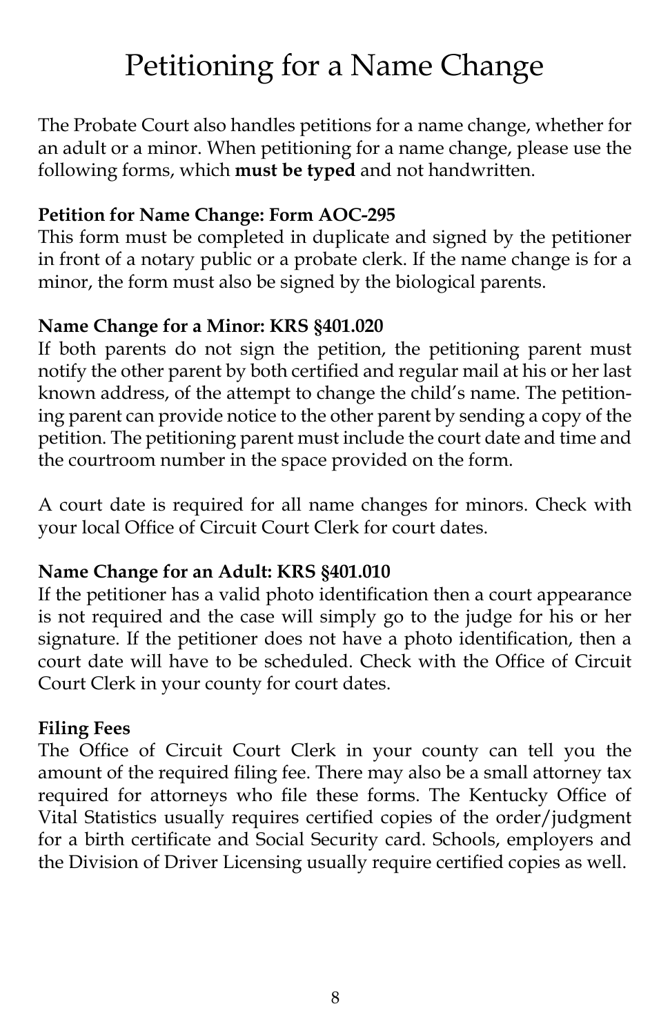# Petitioning for a Name Change

The Probate Court also handles petitions for a name change, whether for an adult or a minor. When petitioning for a name change, please use the following forms, which **must be typed** and not handwritten.

#### **Petition for Name Change: Form AOC-295**

This form must be completed in duplicate and signed by the petitioner in front of a notary public or a probate clerk. If the name change is for a minor, the form must also be signed by the biological parents.

#### **Name Change for a Minor: KRS §401.020**

If both parents do not sign the petition, the petitioning parent must notify the other parent by both certified and regular mail at his or her last known address, of the attempt to change the child's name. The petitioning parent can provide notice to the other parent by sending a copy of the petition. The petitioning parent must include the court date and time and the courtroom number in the space provided on the form.

A court date is required for all name changes for minors. Check with your local Office of Circuit Court Clerk for court dates.

#### **Name Change for an Adult: KRS §401.010**

If the petitioner has a valid photo identification then a court appearance is not required and the case will simply go to the judge for his or her signature. If the petitioner does not have a photo identification, then a court date will have to be scheduled. Check with the Office of Circuit Court Clerk in your county for court dates.

#### **Filing Fees**

The Office of Circuit Court Clerk in your county can tell you the amount of the required filing fee. There may also be a small attorney tax required for attorneys who file these forms. The Kentucky Office of Vital Statistics usually requires certified copies of the order/judgment for a birth certificate and Social Security card. Schools, employers and the Division of Driver Licensing usually require certified copies as well.